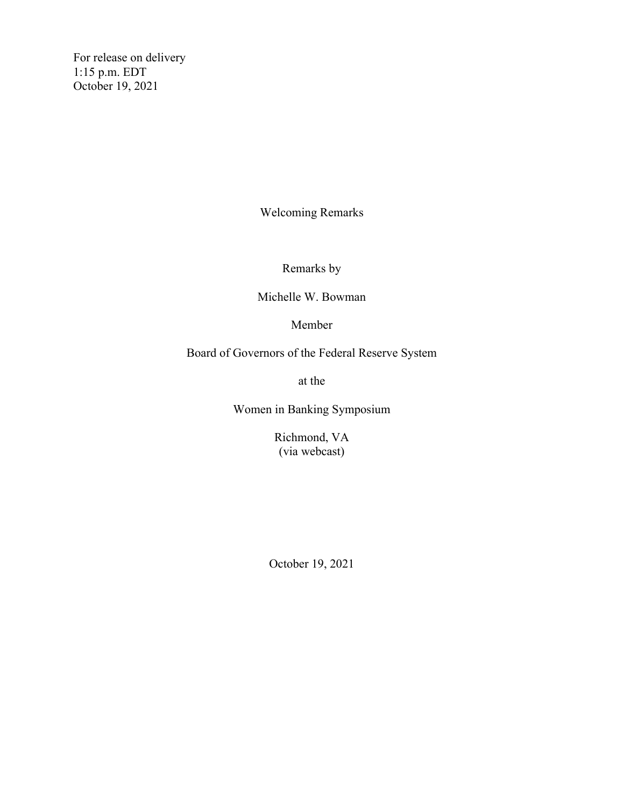For release on delivery 1:15 p.m. EDT October 19, 2021

Welcoming Remarks

Remarks by

Michelle W. Bowman

Member

Board of Governors of the Federal Reserve System

at the

Women in Banking Symposium

Richmond, VA (via webcast)

October 19, 2021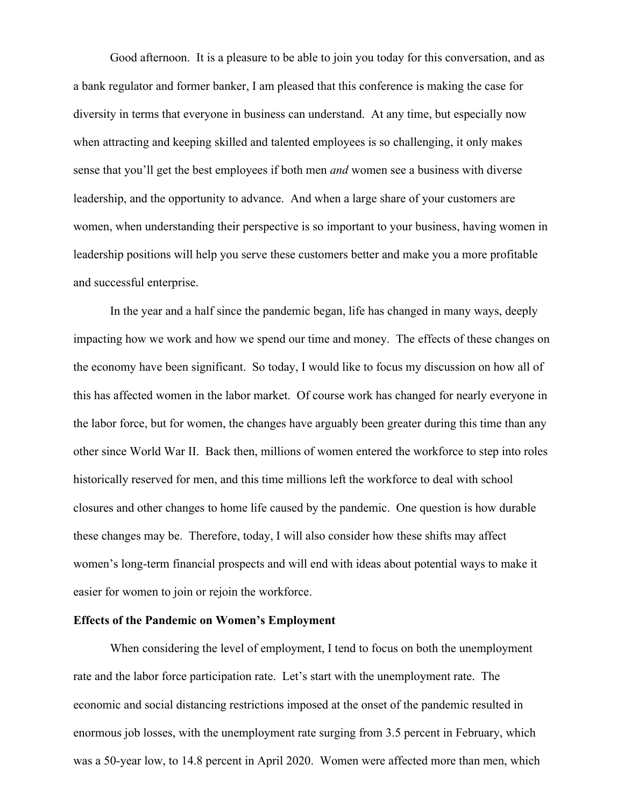Good afternoon. It is a pleasure to be able to join you today for this conversation, and as a bank regulator and former banker, I am pleased that this conference is making the case for diversity in terms that everyone in business can understand. At any time, but especially now when attracting and keeping skilled and talented employees is so challenging, it only makes sense that you'll get the best employees if both men *and* women see a business with diverse leadership, and the opportunity to advance. And when a large share of your customers are women, when understanding their perspective is so important to your business, having women in leadership positions will help you serve these customers better and make you a more profitable and successful enterprise.

In the year and a half since the pandemic began, life has changed in many ways, deeply impacting how we work and how we spend our time and money. The effects of these changes on the economy have been significant. So today, I would like to focus my discussion on how all of this has affected women in the labor market. Of course work has changed for nearly everyone in the labor force, but for women, the changes have arguably been greater during this time than any other since World War II. Back then, millions of women entered the workforce to step into roles historically reserved for men, and this time millions left the workforce to deal with school closures and other changes to home life caused by the pandemic. One question is how durable these changes may be. Therefore, today, I will also consider how these shifts may affect women's long-term financial prospects and will end with ideas about potential ways to make it easier for women to join or rejoin the workforce.

## **Effects of the Pandemic on Women's Employment**

When considering the level of employment, I tend to focus on both the unemployment rate and the labor force participation rate. Let's start with the unemployment rate. The economic and social distancing restrictions imposed at the onset of the pandemic resulted in enormous job losses, with the unemployment rate surging from 3.5 percent in February, which was a 50-year low, to 14.8 percent in April 2020. Women were affected more than men, which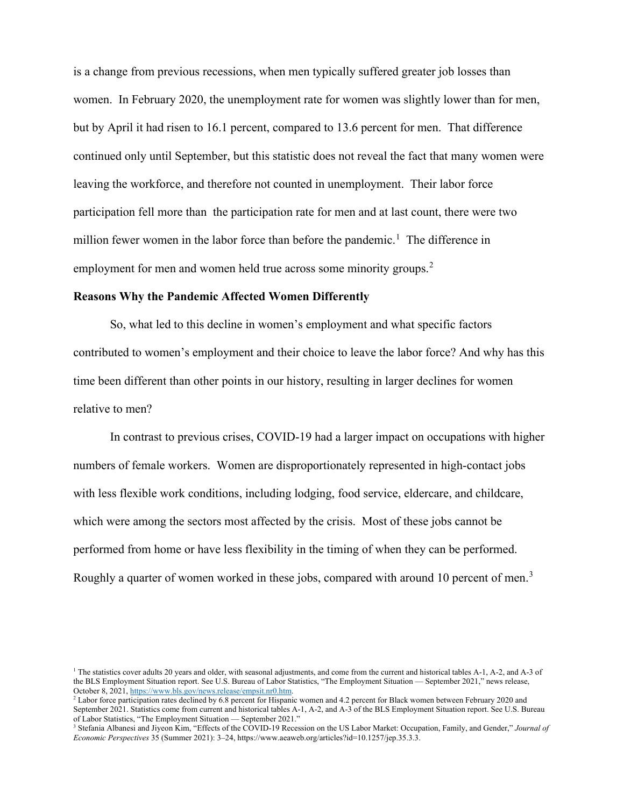is a change from previous recessions, when men typically suffered greater job losses than women. In February 2020, the unemployment rate for women was slightly lower than for men, but by April it had risen to 16.1 percent, compared to 13.6 percent for men. That difference continued only until September, but this statistic does not reveal the fact that many women were leaving the workforce, and therefore not counted in unemployment. Their labor force participation fell more than the participation rate for men and at last count, there were two million fewer women in the labor force than before the pandemic.<sup>[1](#page-2-0)</sup> The difference in employment for men and women held true across some minority groups.<sup>[2](#page-2-1)</sup>

## **Reasons Why the Pandemic Affected Women Differently**

So, what led to this decline in women's employment and what specific factors contributed to women's employment and their choice to leave the labor force? And why has this time been different than other points in our history, resulting in larger declines for women relative to men?

In contrast to previous crises, COVID-19 had a larger impact on occupations with higher numbers of female workers. Women are disproportionately represented in high-contact jobs with less flexible work conditions, including lodging, food service, eldercare, and childcare, which were among the sectors most affected by the crisis. Most of these jobs cannot be performed from home or have less flexibility in the timing of when they can be performed. Roughly a quarter of women worked in these jobs, compared with around 10 percent of men.<sup>[3](#page-2-2)</sup>

<span id="page-2-0"></span><sup>&</sup>lt;sup>1</sup> The statistics cover adults 20 years and older, with seasonal adjustments, and come from the current and historical tables A-1, A-2, and A-3 of the BLS Employment Situation report. See U.S. Bureau of Labor Statistics, "The Employment Situation — September 2021," news release, October 8, 2021, [https://www.bls.gov/news.release/empsit.nr0.htm.](https://www.bls.gov/news.release/empsit.nr0.htm)<br><sup>2</sup> Labor force participation rates declined by 6.8 percent for Hispanic women and 4.2 percent for Black women between February 2020 and

<span id="page-2-1"></span>September 2021. Statistics come from current and historical tables A-1, A-2, and A-3 of the BLS Employment Situation report. See U.S. Bureau of Labor Statistics, "The Employment Situation — September 2021."

<span id="page-2-2"></span><sup>&</sup>lt;sup>3</sup> Stefania Albanesi and Jiyeon Kim, "Effects of the COVID-19 Recession on the US Labor Market: Occupation, Family, and Gender," *Journal of Economic Perspectives* 35 (Summer 2021): 3–24, https://www.aeaweb.org/articles?id=10.1257/jep.35.3.3.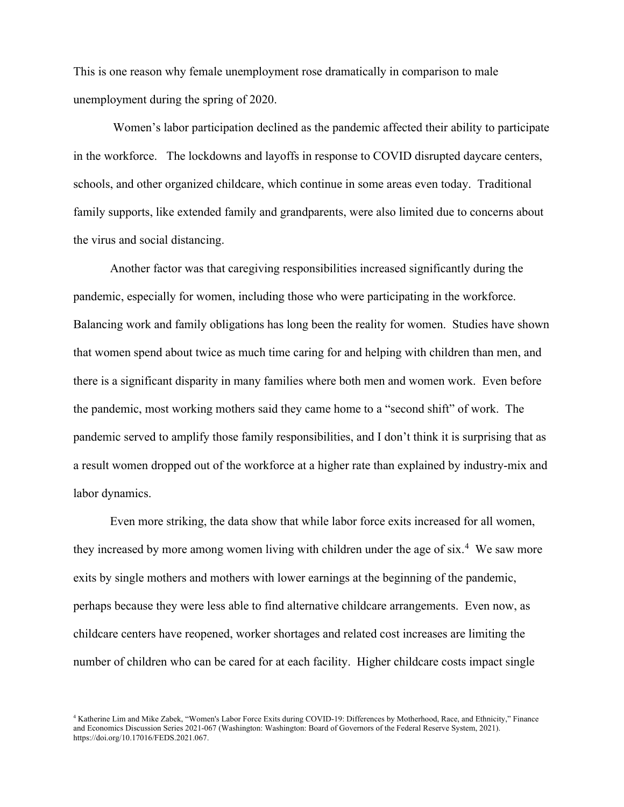This is one reason why female unemployment rose dramatically in comparison to male unemployment during the spring of 2020.

Women's labor participation declined as the pandemic affected their ability to participate in the workforce. The lockdowns and layoffs in response to COVID disrupted daycare centers, schools, and other organized childcare, which continue in some areas even today. Traditional family supports, like extended family and grandparents, were also limited due to concerns about the virus and social distancing.

Another factor was that caregiving responsibilities increased significantly during the pandemic, especially for women, including those who were participating in the workforce. Balancing work and family obligations has long been the reality for women. Studies have shown that women spend about twice as much time caring for and helping with children than men, and there is a significant disparity in many families where both men and women work. Even before the pandemic, most working mothers said they came home to a "second shift" of work. The pandemic served to amplify those family responsibilities, and I don't think it is surprising that as a result women dropped out of the workforce at a higher rate than explained by industry-mix and labor dynamics.

Even more striking, the data show that while labor force exits increased for all women, they increased by more among women living with children under the age of six.<sup>[4](#page-3-0)</sup> We saw more exits by single mothers and mothers with lower earnings at the beginning of the pandemic, perhaps because they were less able to find alternative childcare arrangements. Even now, as childcare centers have reopened, worker shortages and related cost increases are limiting the number of children who can be cared for at each facility. Higher childcare costs impact single

<span id="page-3-0"></span><sup>4</sup> Katherine Lim and Mike Zabek, "Women's Labor Force Exits during COVID-19: Differences by Motherhood, Race, and Ethnicity," Finance and Economics Discussion Series 2021-067 (Washington: Washington: Board of Governors of the Federal Reserve System, 2021). https://doi.org/10.17016/FEDS.2021.067.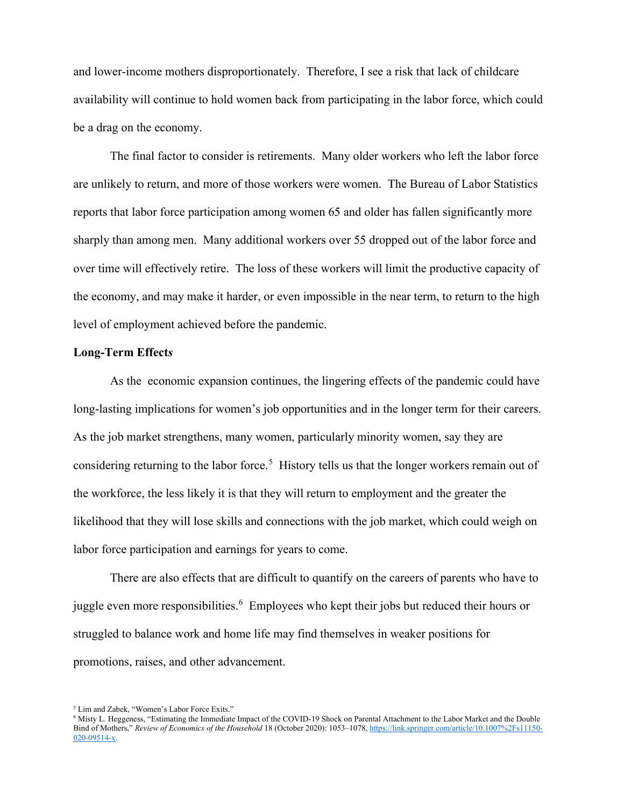and lower-income mothers disproportionately. Therefore, I see a risk that lack of childcare availability will continue to hold women back from participating in the labor force, which could be a drag on the economy.

The final factor to consider is retirements. Many older workers who left the labor force are unlikely to return, and more of those workers were women. The Bureau of Labor Statistics reports that labor force participation among women 65 and older has fallen significantly more sharply than among men. Many additional workers over 55 dropped out of the labor force and over time will effectively retire. The loss of these workers will limit the productive capacity of the economy, and may make it harder, or even impossible in the near term, to return to the high level of employment achieved before the pandemic.

## **Long-Term Effect***s*

As the economic expansion continues, the lingering effects of the pandemic could have long-lasting implications for women's job opportunities and in the longer term for their careers. As the job market strengthens, many women, particularly minority women, say they are considering returning to the labor force.<sup>[5](#page-4-0)</sup> History tells us that the longer workers remain out of the workforce, the less likely it is that they will return to employment and the greater the likelihood that they will lose skills and connections with the job market, which could weigh on labor force participation and earnings for years to come.

There are also effects that are difficult to quantify on the careers of parents who have to juggle even more responsibilities.<sup>[6](#page-4-1)</sup> Employees who kept their jobs but reduced their hours or struggled to balance work and home life may find themselves in weaker positions for promotions, raises, and other advancement.

<span id="page-4-0"></span><sup>5</sup> Lim and Zabek, "Women's Labor Force Exits."

<span id="page-4-1"></span><sup>6</sup> Misty L. Heggeness, "Estimating the Immediate Impact of the COVID-19 Shock on Parental Attachment to the Labor Market and the Double Bind of Mothers," *Review of Economics of the Household* 18 (October 2020): 1053–1078, [https://link.springer.com/article/10.1007%2Fs11150-](https://link.springer.com/article/10.1007%2Fs11150-020-09514-x) [020-09514-x.](https://link.springer.com/article/10.1007%2Fs11150-020-09514-x)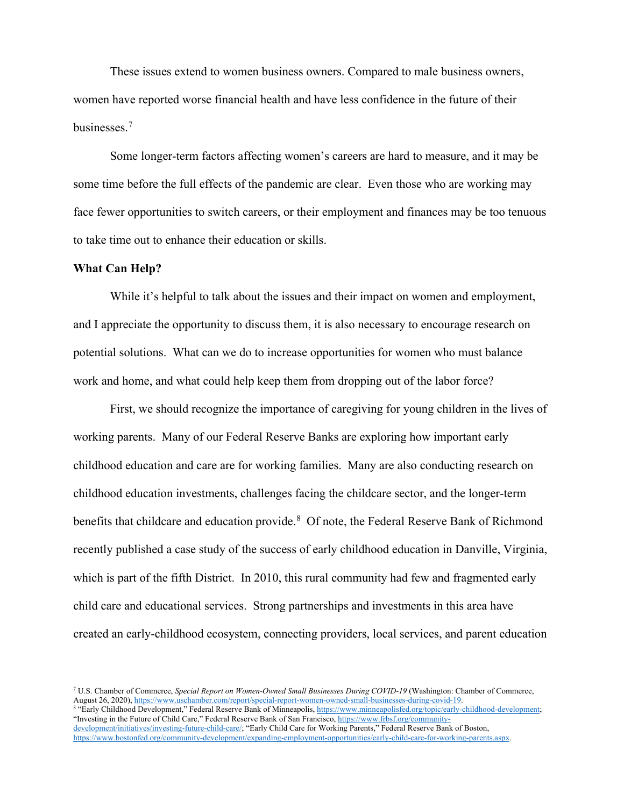These issues extend to women business owners. Compared to male business owners, women have reported worse financial health and have less confidence in the future of their businesses.<sup>[7](#page-5-0)</sup>

Some longer-term factors affecting women's careers are hard to measure, and it may be some time before the full effects of the pandemic are clear. Even those who are working may face fewer opportunities to switch careers, or their employment and finances may be too tenuous to take time out to enhance their education or skills.

## **What Can Help?**

While it's helpful to talk about the issues and their impact on women and employment, and I appreciate the opportunity to discuss them, it is also necessary to encourage research on potential solutions. What can we do to increase opportunities for women who must balance work and home, and what could help keep them from dropping out of the labor force?

First, we should recognize the importance of caregiving for young children in the lives of working parents. Many of our Federal Reserve Banks are exploring how important early childhood education and care are for working families. Many are also conducting research on childhood education investments, challenges facing the childcare sector, and the longer-term benefits that childcare and education provide.<sup>[8](#page-5-1)</sup> Of note, the Federal Reserve Bank of Richmond recently published a case study of the success of early childhood education in Danville, Virginia, which is part of the fifth District. In 2010, this rural community had few and fragmented early child care and educational services. Strong partnerships and investments in this area have created an early-childhood ecosystem, connecting providers, local services, and parent education

<span id="page-5-1"></span>8 "Early Childhood Development," Federal Reserve Bank of Minneapolis, https://www.minneapolisfed.org/topic/early-childhood-development; "Investing in the Future of Child Care," Federal Reserve Bank of San Francisco[, https://www.frbsf.org/community](https://www.frbsf.org/community-development/initiatives/investing-future-child-care/)[development/initiatives/investing-future-child-care/;](https://www.frbsf.org/community-development/initiatives/investing-future-child-care/) "Early Child Care for Working Parents," Federal Reserve Bank of Boston, [https://www.bostonfed.org/community-development/expanding-employment-opportunities/early-child-care-for-working-parents.aspx.](https://www.bostonfed.org/community-development/expanding-employment-opportunities/early-child-care-for-working-parents.aspx)

<span id="page-5-0"></span><sup>&</sup>lt;sup>7</sup> U.S. Chamber of Commerce, *Special Report on Women-Owned Small Businesses During COVID-19* (Washington: Chamber of Commerce, August 26, 2020), https://www.uschamber.com/report/special-report-women-owned-small-businesse